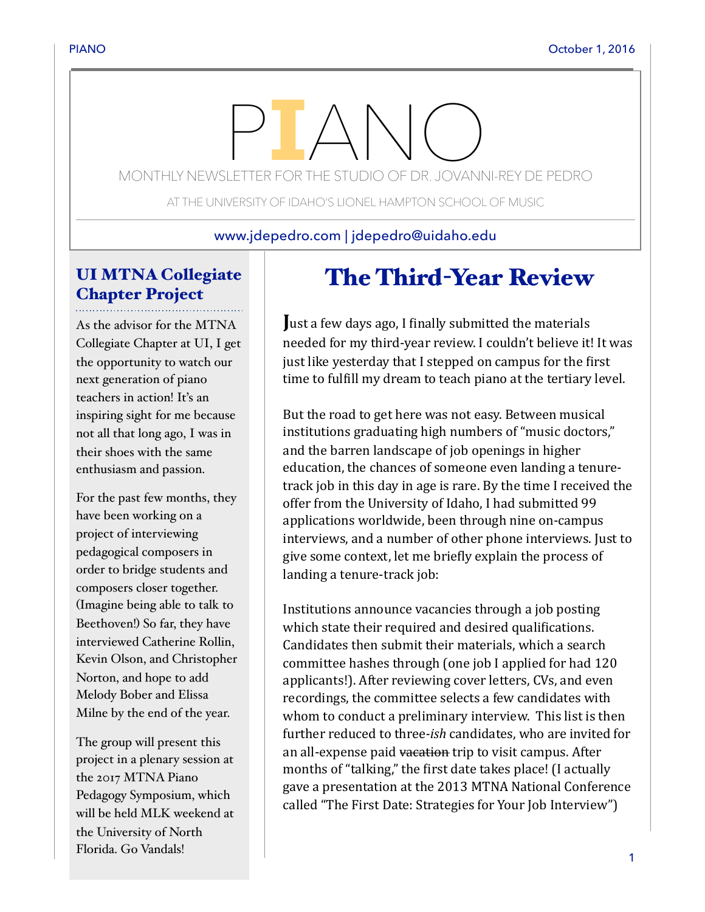# MONTHLY NEWSLETTER FOR THE STUDIO OF DR. JOVANNI-REY DE PEDRO

AT THE UNIVERSITY OF IDAHO'S LIONEL HAMPTON SCHOOL OF MUSIC

www.jdepedro.com | jdepedro@uidaho.edu

# UI MTNA Collegiate Chapter Project

As the advisor for the MTNA Collegiate Chapter at UI, I get the opportunity to watch our next generation of piano teachers in action! It's an inspiring sight for me because not all that long ago, I was in their shoes with the same enthusiasm and passion.

For the past few months, they have been working on a project of interviewing pedagogical composers in order to bridge students and composers closer together. (Imagine being able to talk to Beethoven!) So far, they have interviewed Catherine Rollin, Kevin Olson, and Christopher Norton, and hope to add Melody Bober and Elissa Milne by the end of the year.

The group will present this project in a plenary session at the 2017 MTNA Piano Pedagogy Symposium, which will be held MLK weekend at the University of North Florida. Go Vandals!

# The Third-Year Review

**Just a few days ago, I finally submitted the materials** needed for my third-year review. I couldn't believe it! It was just like yesterday that I stepped on campus for the first time to fulfill my dream to teach piano at the tertiary level.

But the road to get here was not easy. Between musical institutions graduating high numbers of "music doctors," and the barren landscape of job openings in higher education, the chances of someone even landing a tenuretrack job in this day in age is rare. By the time I received the offer from the University of Idaho, I had submitted 99 applications worldwide, been through nine on-campus interviews, and a number of other phone interviews. Just to give some context, let me briefly explain the process of landing a tenure-track job:

Institutions announce vacancies through a job posting which state their required and desired qualifications. Candidates then submit their materials, which a search committee hashes through (one job I applied for had 120 applicants!). After reviewing cover letters, CVs, and even recordings, the committee selects a few candidates with whom to conduct a preliminary interview. This list is then further reduced to three-ish candidates, who are invited for an all-expense paid vacation trip to visit campus. After months of "talking," the first date takes place! (I actually gave a presentation at the 2013 MTNA National Conference called "The First Date: Strategies for Your Job Interview")